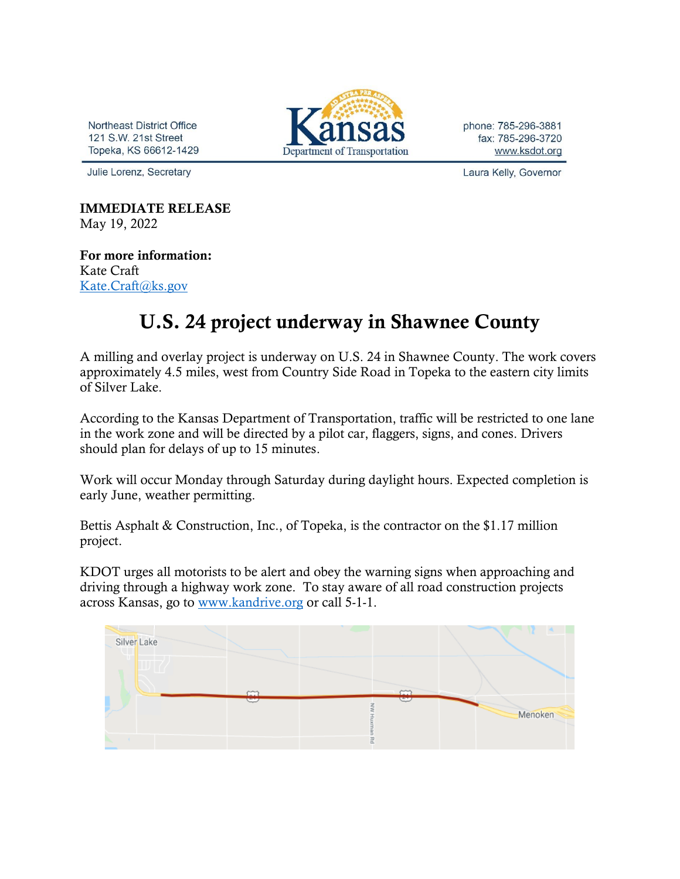Northeast District Office 121 S.W. 21st Street Topeka, KS 66612-1429

Julie Lorenz, Secretary



phone: 785-296-3881 fax: 785-296-3720 www.ksdot.org

Laura Kelly, Governor

IMMEDIATE RELEASE May 19, 2022

For more information: Kate Craft [Kate.Craft@ks.gov](mailto:Kate.Craft@ks.gov)

## U.S. 24 project underway in Shawnee County

A milling and overlay project is underway on U.S. 24 in Shawnee County. The work covers approximately 4.5 miles, west from Country Side Road in Topeka to the eastern city limits of Silver Lake.

According to the Kansas Department of Transportation, traffic will be restricted to one lane in the work zone and will be directed by a pilot car, flaggers, signs, and cones. Drivers should plan for delays of up to 15 minutes.

Work will occur Monday through Saturday during daylight hours. Expected completion is early June, weather permitting.

Bettis Asphalt & Construction, Inc., of Topeka, is the contractor on the \$1.17 million project.

KDOT urges all motorists to be alert and obey the warning signs when approaching and driving through a highway work zone. To stay aware of all road construction projects across Kansas, go to [www.kandrive.org](https://gcc02.safelinks.protection.outlook.com/?url=http%3A%2F%2Fwww.kandrive.org%2F&data=04%7C01%7CKim.Stich%40ks.gov%7Cf043f0ed10d04bba356408d8df453254%7Cdcae8101c92d480cbc43c6761ccccc5a%7C0%7C0%7C637504836500693890%7CUnknown%7CTWFpbGZsb3d8eyJWIjoiMC4wLjAwMDAiLCJQIjoiV2luMzIiLCJBTiI6Ik1haWwiLCJXVCI6Mn0%3D%7C1000&sdata=Ysu6e8GGT9sXtP9xiXKxAvTnZI%2ByfcbKbkIc3oPIRGY%3D&reserved=0) or call 5-1-1.